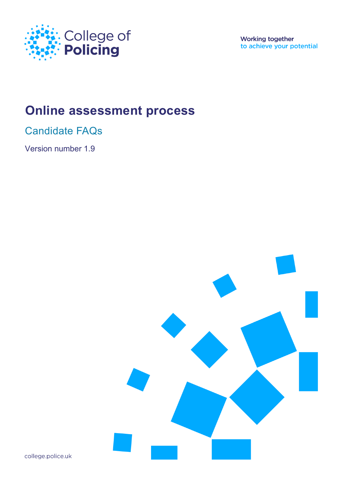

**Working together** to achieve your potential

# **Online assessment process**

Candidate FAQs

Version number 1.9



college.police.uk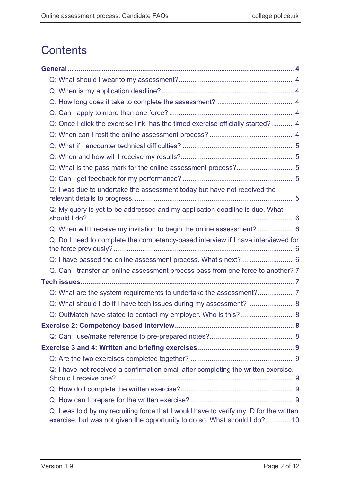# **Contents**

| Q: Once I click the exercise link, has the timed exercise officially started? 4                                                                                      |  |
|----------------------------------------------------------------------------------------------------------------------------------------------------------------------|--|
|                                                                                                                                                                      |  |
|                                                                                                                                                                      |  |
|                                                                                                                                                                      |  |
| Q: What is the pass mark for the online assessment process?5                                                                                                         |  |
|                                                                                                                                                                      |  |
| Q: I was due to undertake the assessment today but have not received the                                                                                             |  |
| Q: My query is yet to be addressed and my application deadline is due. What                                                                                          |  |
| Q: When will I receive my invitation to begin the online assessment?  6                                                                                              |  |
| Q: Do I need to complete the competency-based interview if I have interviewed for                                                                                    |  |
|                                                                                                                                                                      |  |
| Q. Can I transfer an online assessment process pass from one force to another? 7                                                                                     |  |
|                                                                                                                                                                      |  |
|                                                                                                                                                                      |  |
| Q: What should I do if I have tech issues during my assessment?  8                                                                                                   |  |
| Q: OutMatch have stated to contact my employer. Who is this? 8                                                                                                       |  |
|                                                                                                                                                                      |  |
|                                                                                                                                                                      |  |
|                                                                                                                                                                      |  |
|                                                                                                                                                                      |  |
| Q: I have not received a confirmation email after completing the written exercise.                                                                                   |  |
|                                                                                                                                                                      |  |
|                                                                                                                                                                      |  |
| Q: I was told by my recruiting force that I would have to verify my ID for the written<br>exercise, but was not given the opportunity to do so. What should I do? 10 |  |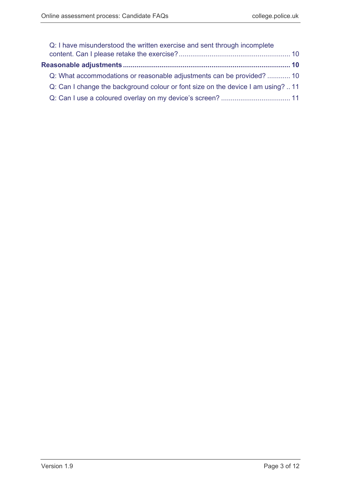| Q: I have misunderstood the written exercise and sent through incomplete        |  |
|---------------------------------------------------------------------------------|--|
|                                                                                 |  |
|                                                                                 |  |
| Q: What accommodations or reasonable adjustments can be provided?  10           |  |
| Q: Can I change the background colour or font size on the device I am using? 11 |  |
|                                                                                 |  |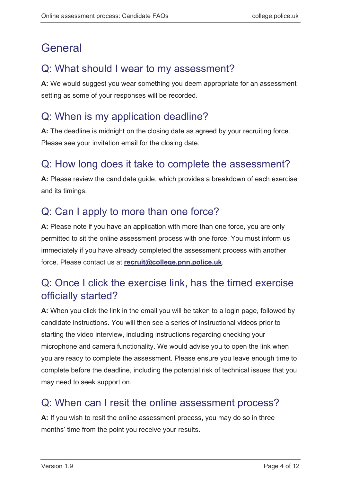# <span id="page-3-0"></span>General

#### <span id="page-3-1"></span>Q: What should I wear to my assessment?

**A:** We would suggest you wear something you deem appropriate for an assessment setting as some of your responses will be recorded.

#### <span id="page-3-2"></span>Q: When is my application deadline?

**A:** The deadline is midnight on the closing date as agreed by your recruiting force. Please see your invitation email for the closing date.

#### <span id="page-3-3"></span>Q: How long does it take to complete the assessment?

**A:** Please review the candidate guide, which provides a breakdown of each exercise and its timings.

## <span id="page-3-4"></span>Q: Can I apply to more than one force?

**A:** Please note if you have an application with more than one force, you are only permitted to sit the online assessment process with one force. You must inform us immediately if you have already completed the assessment process with another force. Please contact us at **[recruit@college.pnn.police.uk](mailto:recruit@college.pnn.police.uk)**.

## <span id="page-3-5"></span>Q: Once I click the exercise link, has the timed exercise officially started?

**A:** When you click the link in the email you will be taken to a login page, followed by candidate instructions. You will then see a series of instructional videos prior to starting the video interview, including instructions regarding checking your microphone and camera functionality. We would advise you to open the link when you are ready to complete the assessment. Please ensure you leave enough time to complete before the deadline, including the potential risk of technical issues that you may need to seek support on.

#### <span id="page-3-6"></span>Q: When can I resit the online assessment process?

**A:** If you wish to resit the online assessment process, you may do so in three months' time from the point you receive your results.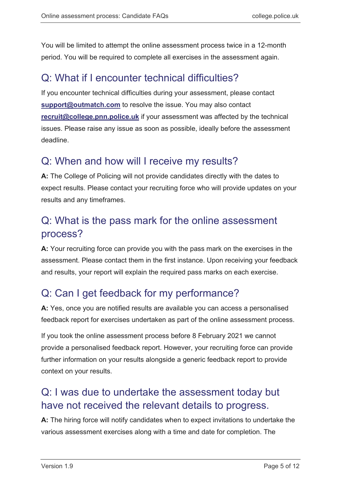You will be limited to attempt the online assessment process twice in a 12-month period. You will be required to complete all exercises in the assessment again.

#### <span id="page-4-0"></span>Q: What if I encounter technical difficulties?

If you encounter technical difficulties during your assessment, please contact **[support@outmatch.com](mailto:support@outmatch.com)** to resolve the issue. You may also contact **[recruit@college.pnn.police.uk](mailto:recruit@college.pnn.police.uk)** if your assessment was affected by the technical issues. Please raise any issue as soon as possible, ideally before the assessment deadline.

#### <span id="page-4-1"></span>Q: When and how will I receive my results?

**A:** The College of Policing will not provide candidates directly with the dates to expect results. Please contact your recruiting force who will provide updates on your results and any timeframes.

## <span id="page-4-2"></span>Q: What is the pass mark for the online assessment process?

**A:** Your recruiting force can provide you with the pass mark on the exercises in the assessment. Please contact them in the first instance. Upon receiving your feedback and results, your report will explain the required pass marks on each exercise.

# <span id="page-4-3"></span>Q: Can I get feedback for my performance?

**A:** Yes, once you are notified results are available you can access a personalised feedback report for exercises undertaken as part of the online assessment process.

If you took the online assessment process before 8 February 2021 we cannot provide a personalised feedback report. However, your recruiting force can provide further information on your results alongside a generic feedback report to provide context on your results.

#### <span id="page-4-4"></span>Q: I was due to undertake the assessment today but have not received the relevant details to progress.

**A:** The hiring force will notify candidates when to expect invitations to undertake the various assessment exercises along with a time and date for completion. The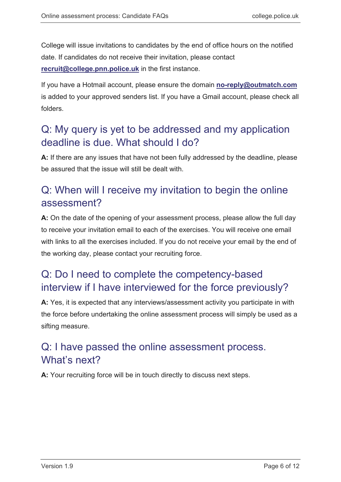College will issue invitations to candidates by the end of office hours on the notified date. If candidates do not receive their invitation, please contact **[recruit@college.pnn.police.uk](mailto:recruit@college.pnn.police.uk)** in the first instance.

If you have a Hotmail account, please ensure the domain **[no-reply@outmatch.com](mailto:no-reply@outmatch.com)** is added to your approved senders list. If you have a Gmail account, please check all folders.

#### <span id="page-5-0"></span>Q: My query is yet to be addressed and my application deadline is due. What should I do?

**A:** If there are any issues that have not been fully addressed by the deadline, please be assured that the issue will still be dealt with.

## <span id="page-5-1"></span>Q: When will I receive my invitation to begin the online assessment?

**A:** On the date of the opening of your assessment process, please allow the full day to receive your invitation email to each of the exercises. You will receive one email with links to all the exercises included. If you do not receive your email by the end of the working day, please contact your recruiting force.

## <span id="page-5-2"></span>Q: Do I need to complete the competency-based interview if I have interviewed for the force previously?

**A:** Yes, it is expected that any interviews/assessment activity you participate in with the force before undertaking the online assessment process will simply be used as a sifting measure.

## <span id="page-5-3"></span>Q: I have passed the online assessment process. What's next?

**A:** Your recruiting force will be in touch directly to discuss next steps.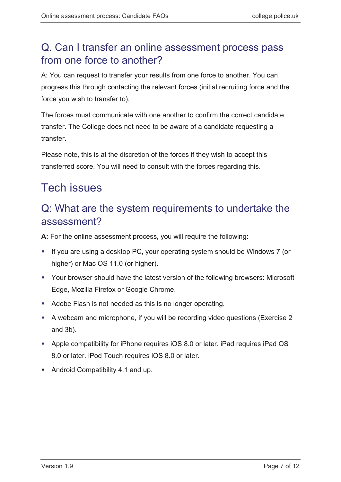## <span id="page-6-0"></span>Q. Can I transfer an online assessment process pass from one force to another?

A: You can request to transfer your results from one force to another. You can progress this through contacting the relevant forces (initial recruiting force and the force you wish to transfer to).

The forces must communicate with one another to confirm the correct candidate transfer. The College does not need to be aware of a candidate requesting a transfer.

Please note, this is at the discretion of the forces if they wish to accept this transferred score. You will need to consult with the forces regarding this.

# <span id="page-6-1"></span>Tech issues

## <span id="page-6-2"></span>Q: What are the system requirements to undertake the assessment?

**A:** For the online assessment process, you will require the following:

- If you are using a desktop PC, your operating system should be Windows 7 (or higher) or Mac OS 11.0 (or higher).
- Your browser should have the latest version of the following browsers: Microsoft Edge, Mozilla Firefox or Google Chrome.
- Adobe Flash is not needed as this is no longer operating.
- A webcam and microphone, if you will be recording video questions (Exercise 2 and 3b).
- Apple compatibility for iPhone requires iOS 8.0 or later. iPad requires iPad OS 8.0 or later. iPod Touch requires iOS 8.0 or later.
- Android Compatibility 4.1 and up.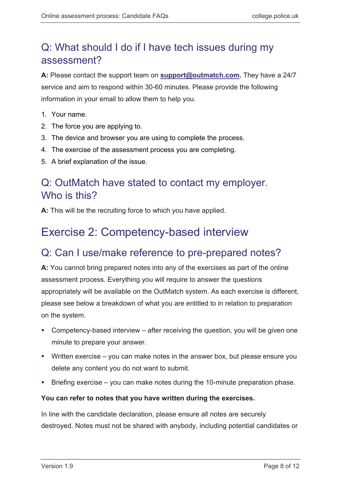## <span id="page-7-0"></span>Q: What should I do if I have tech issues during my assessment?

**A:** Please contact the support team on **[support@outmatch.com.](mailto:support@outmatch.com)** They have a 24/7 service and aim to respond within 30-60 minutes. Please provide the following information in your email to allow them to help you.

- 1. Your name.
- 2. The force you are applying to.
- 3. The device and browser you are using to complete the process.
- 4. The exercise of the assessment process you are completing.
- 5. A brief explanation of the issue.

#### <span id="page-7-1"></span>Q: OutMatch have stated to contact my employer. Who is this?

**A:** This will be the recruiting force to which you have applied.

## <span id="page-7-2"></span>Exercise 2: Competency-based interview

#### <span id="page-7-3"></span>Q: Can I use/make reference to pre-prepared notes?

**A:** You cannot bring prepared notes into any of the exercises as part of the online assessment process. Everything you will require to answer the questions appropriately will be available on the OutMatch system. As each exercise is different, please see below a breakdown of what you are entitled to in relation to preparation on the system.

- Competency-based interview after receiving the question, you will be given one minute to prepare your answer.
- Written exercise you can make notes in the answer box, but please ensure you delete any content you do not want to submit.
- Briefing exercise you can make notes during the 10-minute preparation phase.

#### **You can refer to notes that you have written during the exercises.**

In line with the candidate declaration, please ensure all notes are securely destroyed. Notes must not be shared with anybody, including potential candidates or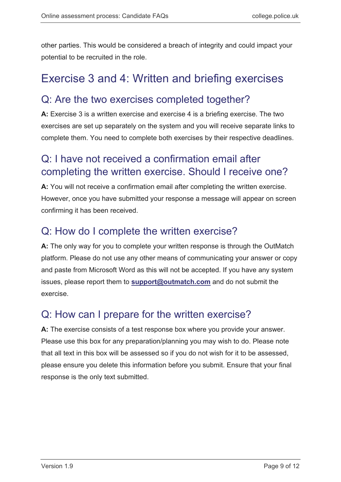other parties. This would be considered a breach of integrity and could impact your potential to be recruited in the role.

# <span id="page-8-0"></span>Exercise 3 and 4: Written and briefing exercises

#### <span id="page-8-1"></span>Q: Are the two exercises completed together?

**A:** Exercise 3 is a written exercise and exercise 4 is a briefing exercise. The two exercises are set up separately on the system and you will receive separate links to complete them. You need to complete both exercises by their respective deadlines.

## <span id="page-8-2"></span>Q: I have not received a confirmation email after completing the written exercise. Should I receive one?

**A:** You will not receive a confirmation email after completing the written exercise. However, once you have submitted your response a message will appear on screen confirming it has been received.

#### <span id="page-8-3"></span>Q: How do I complete the written exercise?

**A:** The only way for you to complete your written response is through the OutMatch platform. Please do not use any other means of communicating your answer or copy and paste from Microsoft Word as this will not be accepted. If you have any system issues, please report them to **[support@outmatch.com](mailto:support@outmatch.com)** and do not submit the exercise.

## <span id="page-8-4"></span>Q: How can I prepare for the written exercise?

**A:** The exercise consists of a test response box where you provide your answer. Please use this box for any preparation/planning you may wish to do. Please note that all text in this box will be assessed so if you do not wish for it to be assessed, please ensure you delete this information before you submit. Ensure that your final response is the only text submitted.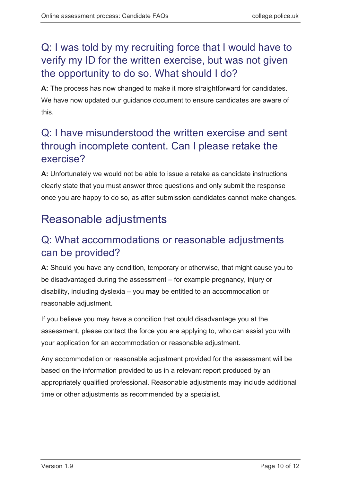## <span id="page-9-0"></span>Q: I was told by my recruiting force that I would have to verify my ID for the written exercise, but was not given the opportunity to do so. What should I do?

**A:** The process has now changed to make it more straightforward for candidates. We have now updated our guidance document to ensure candidates are aware of this.

## <span id="page-9-1"></span>Q: I have misunderstood the written exercise and sent through incomplete content. Can I please retake the exercise?

**A:** Unfortunately we would not be able to issue a retake as candidate instructions clearly state that you must answer three questions and only submit the response once you are happy to do so, as after submission candidates cannot make changes.

# <span id="page-9-2"></span>Reasonable adjustments

## <span id="page-9-3"></span>Q: What accommodations or reasonable adjustments can be provided?

**A:** Should you have any condition, temporary or otherwise, that might cause you to be disadvantaged during the assessment – for example pregnancy, injury or disability, including dyslexia – you **may** be entitled to an accommodation or reasonable adjustment.

If you believe you may have a condition that could disadvantage you at the assessment, please contact the force you are applying to, who can assist you with your application for an accommodation or reasonable adjustment.

Any accommodation or reasonable adjustment provided for the assessment will be based on the information provided to us in a relevant report produced by an appropriately qualified professional. Reasonable adjustments may include additional time or other adjustments as recommended by a specialist.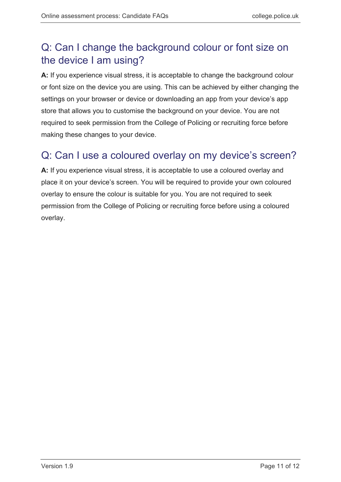## <span id="page-10-0"></span>Q: Can I change the background colour or font size on the device I am using?

**A:** If you experience visual stress, it is acceptable to change the background colour or font size on the device you are using. This can be achieved by either changing the settings on your browser or device or downloading an app from your device's app store that allows you to customise the background on your device. You are not required to seek permission from the College of Policing or recruiting force before making these changes to your device.

#### <span id="page-10-1"></span>Q: Can I use a coloured overlay on my device's screen?

**A:** If you experience visual stress, it is acceptable to use a coloured overlay and place it on your device's screen. You will be required to provide your own coloured overlay to ensure the colour is suitable for you. You are not required to seek permission from the College of Policing or recruiting force before using a coloured overlay.